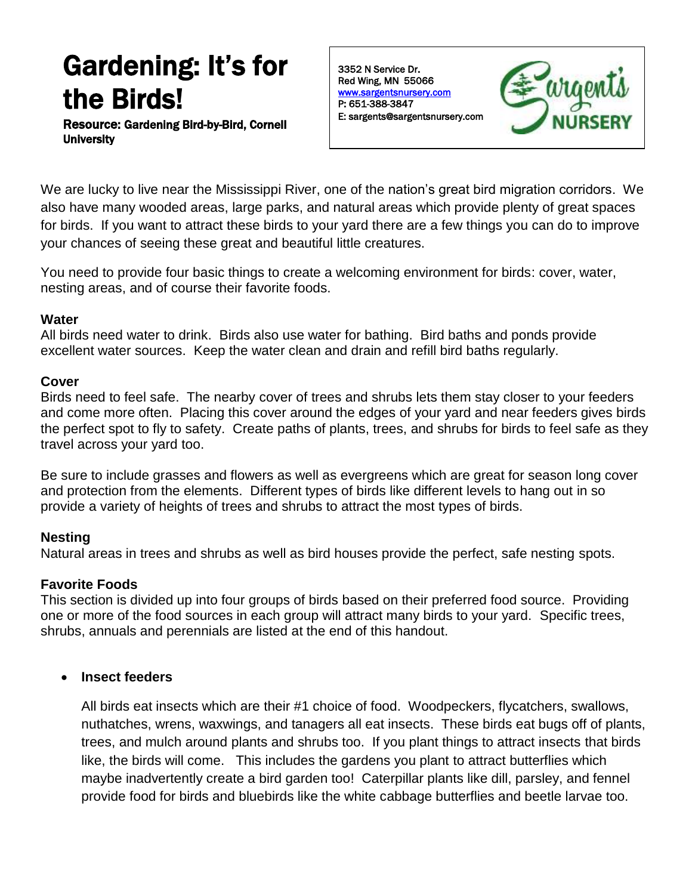# Gardening: It's for the Birds!

Resource: Gardening Bird-by-Bird, Cornell **University** 

3352 N Service Dr. Red Wing, MN 55066 [www.sargentsnursery.com](http://www.sargentsnursery.com/)  P: 651-388-3847 E: sargents@sargentsnursery.com



We are lucky to live near the Mississippi River, one of the nation's great bird migration corridors. We also have many wooded areas, large parks, and natural areas which provide plenty of great spaces for birds. If you want to attract these birds to your yard there are a few things you can do to improve your chances of seeing these great and beautiful little creatures.

You need to provide four basic things to create a welcoming environment for birds: cover, water, nesting areas, and of course their favorite foods.

## **Water**

All birds need water to drink. Birds also use water for bathing. Bird baths and ponds provide excellent water sources. Keep the water clean and drain and refill bird baths regularly.

# **Cover**

Birds need to feel safe. The nearby cover of trees and shrubs lets them stay closer to your feeders and come more often. Placing this cover around the edges of your yard and near feeders gives birds the perfect spot to fly to safety. Create paths of plants, trees, and shrubs for birds to feel safe as they travel across your yard too.

Be sure to include grasses and flowers as well as evergreens which are great for season long cover and protection from the elements. Different types of birds like different levels to hang out in so provide a variety of heights of trees and shrubs to attract the most types of birds.

# **Nesting**

Natural areas in trees and shrubs as well as bird houses provide the perfect, safe nesting spots.

# **Favorite Foods**

This section is divided up into four groups of birds based on their preferred food source. Providing one or more of the food sources in each group will attract many birds to your yard. Specific trees, shrubs, annuals and perennials are listed at the end of this handout.

# **Insect feeders**

All birds eat insects which are their #1 choice of food. Woodpeckers, flycatchers, swallows, nuthatches, wrens, waxwings, and tanagers all eat insects. These birds eat bugs off of plants, trees, and mulch around plants and shrubs too. If you plant things to attract insects that birds like, the birds will come. This includes the gardens you plant to attract butterflies which maybe inadvertently create a bird garden too! Caterpillar plants like dill, parsley, and fennel provide food for birds and bluebirds like the white cabbage butterflies and beetle larvae too.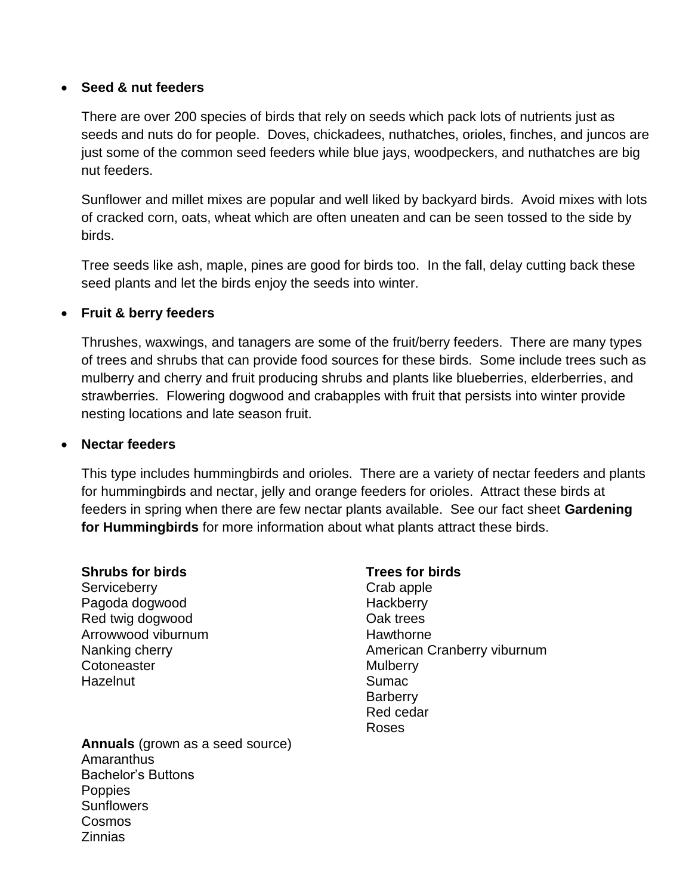## **Seed & nut feeders**

There are over 200 species of birds that rely on seeds which pack lots of nutrients just as seeds and nuts do for people. Doves, chickadees, nuthatches, orioles, finches, and juncos are just some of the common seed feeders while blue jays, woodpeckers, and nuthatches are big nut feeders.

Sunflower and millet mixes are popular and well liked by backyard birds. Avoid mixes with lots of cracked corn, oats, wheat which are often uneaten and can be seen tossed to the side by birds.

Tree seeds like ash, maple, pines are good for birds too. In the fall, delay cutting back these seed plants and let the birds enjoy the seeds into winter.

# **Fruit & berry feeders**

Thrushes, waxwings, and tanagers are some of the fruit/berry feeders. There are many types of trees and shrubs that can provide food sources for these birds. Some include trees such as mulberry and cherry and fruit producing shrubs and plants like blueberries, elderberries, and strawberries. Flowering dogwood and crabapples with fruit that persists into winter provide nesting locations and late season fruit.

### **Nectar feeders**

This type includes hummingbirds and orioles. There are a variety of nectar feeders and plants for hummingbirds and nectar, jelly and orange feeders for orioles. Attract these birds at feeders in spring when there are few nectar plants available. See our fact sheet **Gardening for Hummingbirds** for more information about what plants attract these birds.

#### **Shrubs for birds**

**Serviceberry** Pagoda dogwood Red twig dogwood Arrowwood viburnum Nanking cherry **Cotoneaster Hazelnut** 

#### **Trees for birds**

Crab apple **Hackberry** Oak trees **Hawthorne** American Cranberry viburnum **Mulberry** Sumac **Barberry** Red cedar Roses

**Annuals** (grown as a seed source) **Amaranthus** Bachelor's Buttons **Poppies Sunflowers** Cosmos Zinnias